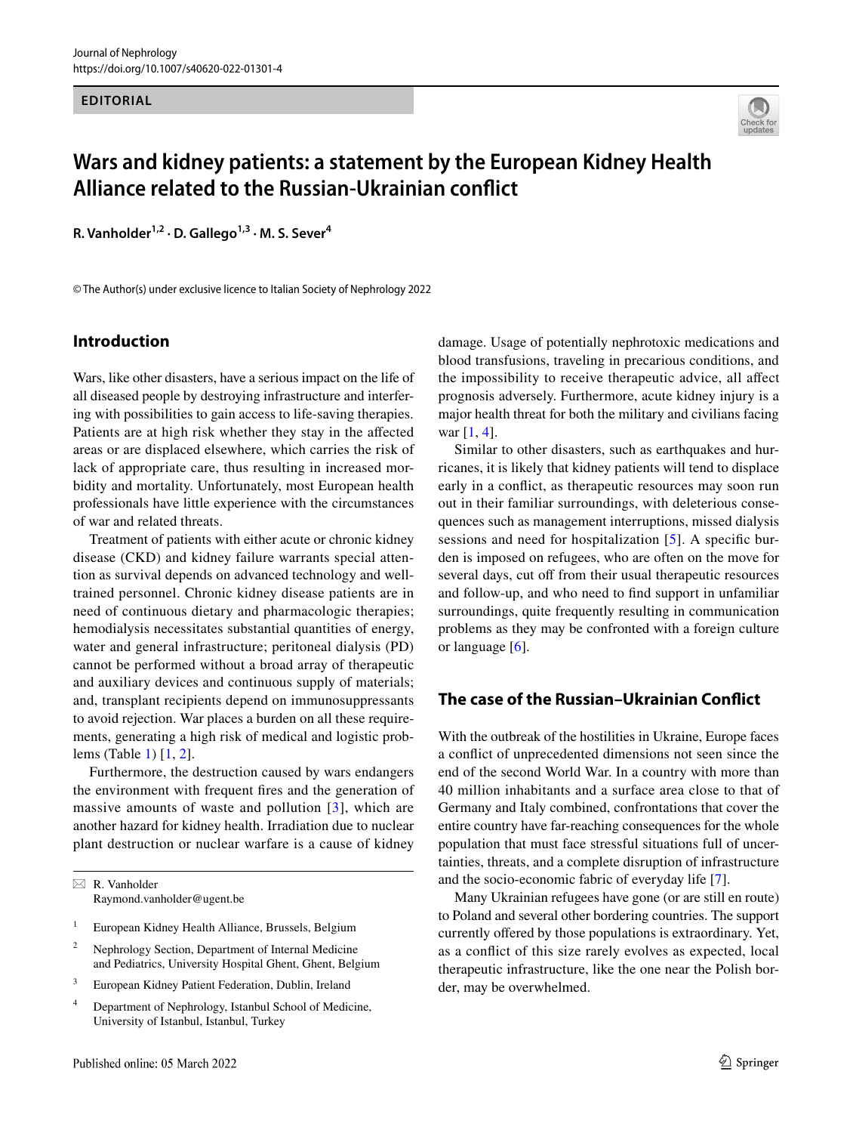#### **EDITORIAL**



# **Wars and kidney patients: a statement by the European Kidney Health Alliance related to the Russian‑Ukrainian confict**

R. Vanholder<sup>1,2</sup> · D. Gallego<sup>1,3</sup> · M. S. Sever<sup>4</sup>

© The Author(s) under exclusive licence to Italian Society of Nephrology 2022

#### **Introduction**

Wars, like other disasters, have a serious impact on the life of all diseased people by destroying infrastructure and interfering with possibilities to gain access to life-saving therapies. Patients are at high risk whether they stay in the affected areas or are displaced elsewhere, which carries the risk of lack of appropriate care, thus resulting in increased morbidity and mortality. Unfortunately, most European health professionals have little experience with the circumstances of war and related threats.

Treatment of patients with either acute or chronic kidney disease (CKD) and kidney failure warrants special attention as survival depends on advanced technology and welltrained personnel. Chronic kidney disease patients are in need of continuous dietary and pharmacologic therapies; hemodialysis necessitates substantial quantities of energy, water and general infrastructure; peritoneal dialysis (PD) cannot be performed without a broad array of therapeutic and auxiliary devices and continuous supply of materials; and, transplant recipients depend on immunosuppressants to avoid rejection. War places a burden on all these requirements, generating a high risk of medical and logistic problems (Table [1](#page-1-0)) [\[1](#page-2-0), [2](#page-2-1)].

Furthermore, the destruction caused by wars endangers the environment with frequent fres and the generation of massive amounts of waste and pollution [[3](#page-3-0)], which are another hazard for kidney health. Irradiation due to nuclear plant destruction or nuclear warfare is a cause of kidney

- <sup>1</sup> European Kidney Health Alliance, Brussels, Belgium
- <sup>2</sup> Nephrology Section, Department of Internal Medicine and Pediatrics, University Hospital Ghent, Ghent, Belgium
- <sup>3</sup> European Kidney Patient Federation, Dublin, Ireland
- <sup>4</sup> Department of Nephrology, Istanbul School of Medicine, University of Istanbul, Istanbul, Turkey

damage. Usage of potentially nephrotoxic medications and blood transfusions, traveling in precarious conditions, and the impossibility to receive therapeutic advice, all afect prognosis adversely. Furthermore, acute kidney injury is a major health threat for both the military and civilians facing war [[1,](#page-2-0) [4\]](#page-3-1).

Similar to other disasters, such as earthquakes and hurricanes, it is likely that kidney patients will tend to displace early in a confict, as therapeutic resources may soon run out in their familiar surroundings, with deleterious consequences such as management interruptions, missed dialysis sessions and need for hospitalization [\[5\]](#page-3-2). A specifc burden is imposed on refugees, who are often on the move for several days, cut off from their usual therapeutic resources and follow-up, and who need to fnd support in unfamiliar surroundings, quite frequently resulting in communication problems as they may be confronted with a foreign culture or language [\[6](#page-3-3)].

#### **The case of the Russian–Ukrainian Confict**

With the outbreak of the hostilities in Ukraine, Europe faces a confict of unprecedented dimensions not seen since the end of the second World War. In a country with more than 40 million inhabitants and a surface area close to that of Germany and Italy combined, confrontations that cover the entire country have far-reaching consequences for the whole population that must face stressful situations full of uncertainties, threats, and a complete disruption of infrastructure and the socio-economic fabric of everyday life [\[7](#page-3-4)].

Many Ukrainian refugees have gone (or are still en route) to Poland and several other bordering countries. The support currently offered by those populations is extraordinary. Yet, as a confict of this size rarely evolves as expected, local therapeutic infrastructure, like the one near the Polish border, may be overwhelmed.

 $\boxtimes$  R. Vanholder Raymond.vanholder@ugent.be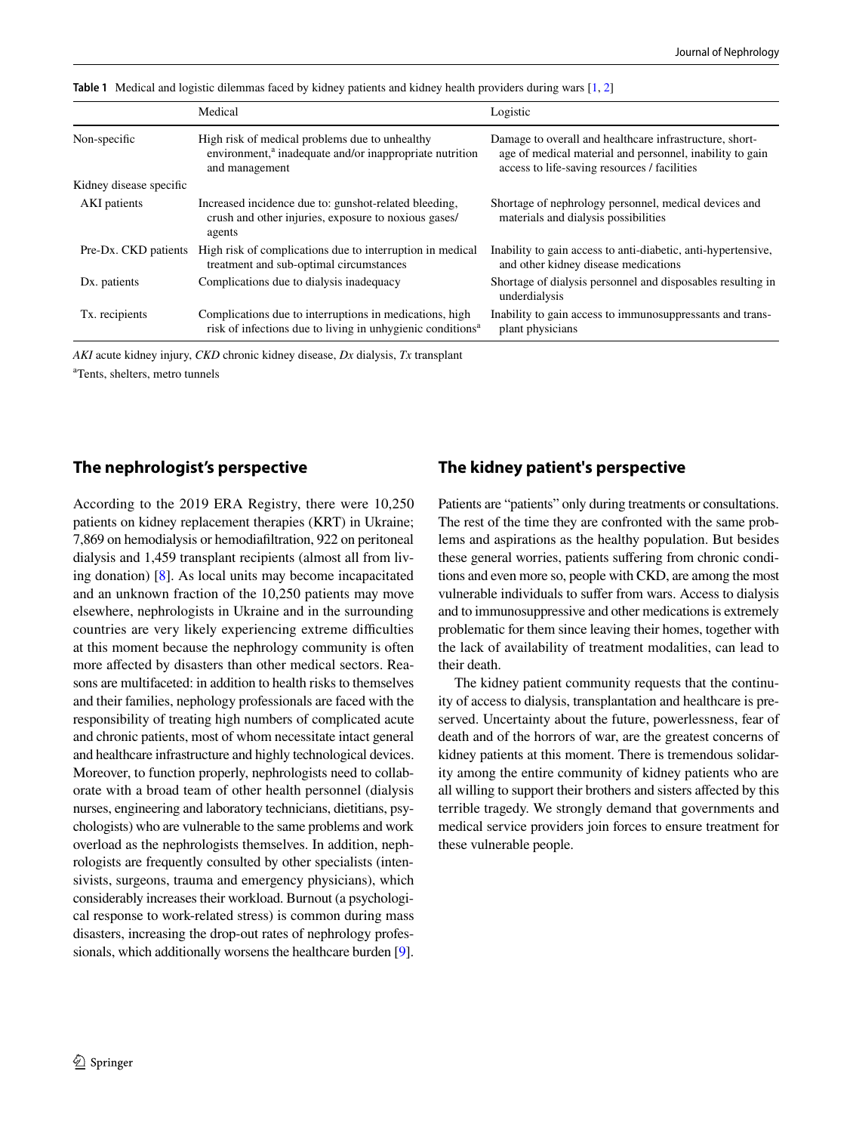|                         | Medical                                                                                                                                 | Logistic                                                                                                                                                            |
|-------------------------|-----------------------------------------------------------------------------------------------------------------------------------------|---------------------------------------------------------------------------------------------------------------------------------------------------------------------|
| Non-specific            | High risk of medical problems due to unhealthy<br>environment, <sup>a</sup> inadequate and/or inappropriate nutrition<br>and management | Damage to overall and healthcare infrastructure, short-<br>age of medical material and personnel, inability to gain<br>access to life-saving resources / facilities |
| Kidney disease specific |                                                                                                                                         |                                                                                                                                                                     |
| AKI patients            | Increased incidence due to: gunshot-related bleeding,<br>crush and other injuries, exposure to noxious gases/<br>agents                 | Shortage of nephrology personnel, medical devices and<br>materials and dialysis possibilities                                                                       |
| Pre-Dx. CKD patients    | High risk of complications due to interruption in medical<br>treatment and sub-optimal circumstances                                    | Inability to gain access to anti-diabetic, anti-hypertensive,<br>and other kidney disease medications                                                               |
| Dx. patients            | Complications due to dialysis inadequacy                                                                                                | Shortage of dialysis personnel and disposables resulting in<br>underdialysis                                                                                        |
| Tx. recipients          | Complications due to interruptions in medications, high<br>risk of infections due to living in unhygienic conditions <sup>a</sup>       | Inability to gain access to immunosuppressants and trans-<br>plant physicians                                                                                       |

<span id="page-1-0"></span>**Table 1** Medical and logistic dilemmas faced by kidney patients and kidney health providers during wars [\[1,](#page-2-0) [2](#page-2-1)]

*AKI* acute kidney injury, *CKD* chronic kidney disease, *Dx* dialysis, *Tx* transplant a Tents, shelters, metro tunnels

## **The nephrologist's perspective**

According to the 2019 ERA Registry, there were 10,250 patients on kidney replacement therapies (KRT) in Ukraine; 7,869 on hemodialysis or hemodiafltration, 922 on peritoneal dialysis and 1,459 transplant recipients (almost all from living donation) [[8\]](#page-3-5). As local units may become incapacitated and an unknown fraction of the 10,250 patients may move elsewhere, nephrologists in Ukraine and in the surrounding countries are very likely experiencing extreme difficulties at this moment because the nephrology community is often more affected by disasters than other medical sectors. Reasons are multifaceted: in addition to health risks to themselves and their families, nephology professionals are faced with the responsibility of treating high numbers of complicated acute and chronic patients, most of whom necessitate intact general and healthcare infrastructure and highly technological devices. Moreover, to function properly, nephrologists need to collaborate with a broad team of other health personnel (dialysis nurses, engineering and laboratory technicians, dietitians, psychologists) who are vulnerable to the same problems and work overload as the nephrologists themselves. In addition, nephrologists are frequently consulted by other specialists (intensivists, surgeons, trauma and emergency physicians), which considerably increases their workload. Burnout (a psychological response to work-related stress) is common during mass disasters, increasing the drop-out rates of nephrology professionals, which additionally worsens the healthcare burden [[9](#page-3-6)].

## **The kidney patient's perspective**

Patients are "patients" only during treatments or consultations. The rest of the time they are confronted with the same problems and aspirations as the healthy population. But besides these general worries, patients sufering from chronic conditions and even more so, people with CKD, are among the most vulnerable individuals to sufer from wars. Access to dialysis and to immunosuppressive and other medications is extremely problematic for them since leaving their homes, together with the lack of availability of treatment modalities, can lead to their death.

The kidney patient community requests that the continuity of access to dialysis, transplantation and healthcare is preserved. Uncertainty about the future, powerlessness, fear of death and of the horrors of war, are the greatest concerns of kidney patients at this moment. There is tremendous solidarity among the entire community of kidney patients who are all willing to support their brothers and sisters afected by this terrible tragedy. We strongly demand that governments and medical service providers join forces to ensure treatment for these vulnerable people.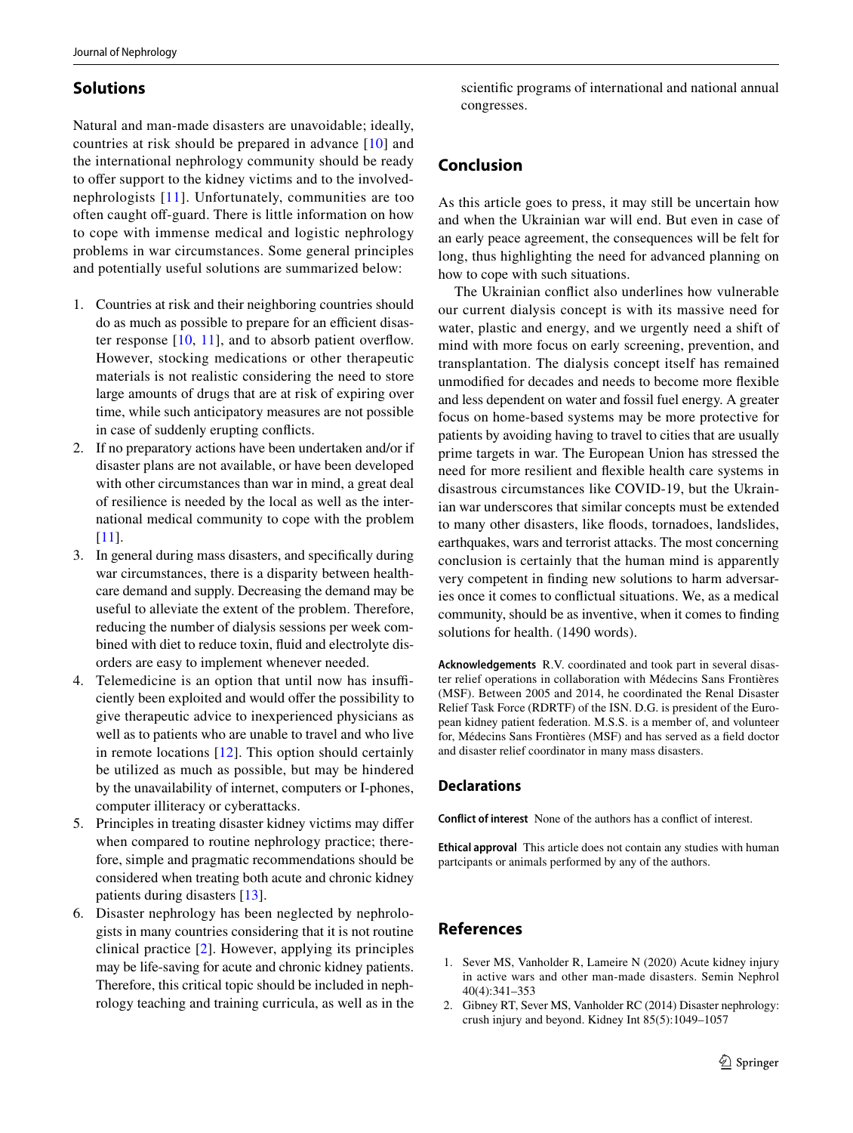### **Solutions**

Natural and man-made disasters are unavoidable; ideally, countries at risk should be prepared in advance [\[10\]](#page-3-7) and the international nephrology community should be ready to offer support to the kidney victims and to the involvednephrologists [[11](#page-3-8)]. Unfortunately, communities are too often caught off-guard. There is little information on how to cope with immense medical and logistic nephrology problems in war circumstances. Some general principles and potentially useful solutions are summarized below:

- 1. Countries at risk and their neighboring countries should do as much as possible to prepare for an efficient disaster response  $[10, 11]$  $[10, 11]$  $[10, 11]$  $[10, 11]$ , and to absorb patient overflow. However, stocking medications or other therapeutic materials is not realistic considering the need to store large amounts of drugs that are at risk of expiring over time, while such anticipatory measures are not possible in case of suddenly erupting conficts.
- 2. If no preparatory actions have been undertaken and/or if disaster plans are not available, or have been developed with other circumstances than war in mind, a great deal of resilience is needed by the local as well as the international medical community to cope with the problem [\[11\]](#page-3-8).
- 3. In general during mass disasters, and specifcally during war circumstances, there is a disparity between healthcare demand and supply. Decreasing the demand may be useful to alleviate the extent of the problem. Therefore, reducing the number of dialysis sessions per week combined with diet to reduce toxin, fuid and electrolyte disorders are easy to implement whenever needed.
- 4. Telemedicine is an option that until now has insufficiently been exploited and would ofer the possibility to give therapeutic advice to inexperienced physicians as well as to patients who are unable to travel and who live in remote locations  $[12]$  $[12]$  $[12]$ . This option should certainly be utilized as much as possible, but may be hindered by the unavailability of internet, computers or I-phones, computer illiteracy or cyberattacks.
- 5. Principles in treating disaster kidney victims may difer when compared to routine nephrology practice; therefore, simple and pragmatic recommendations should be considered when treating both acute and chronic kidney patients during disasters [[13\]](#page-3-10).
- 6. Disaster nephrology has been neglected by nephrologists in many countries considering that it is not routine clinical practice [[2](#page-2-1)]. However, applying its principles may be life-saving for acute and chronic kidney patients. Therefore, this critical topic should be included in nephrology teaching and training curricula, as well as in the

scientifc programs of international and national annual congresses.

## **Conclusion**

As this article goes to press, it may still be uncertain how and when the Ukrainian war will end. But even in case of an early peace agreement, the consequences will be felt for long, thus highlighting the need for advanced planning on how to cope with such situations.

The Ukrainian confict also underlines how vulnerable our current dialysis concept is with its massive need for water, plastic and energy, and we urgently need a shift of mind with more focus on early screening, prevention, and transplantation. The dialysis concept itself has remained unmodifed for decades and needs to become more fexible and less dependent on water and fossil fuel energy. A greater focus on home-based systems may be more protective for patients by avoiding having to travel to cities that are usually prime targets in war. The European Union has stressed the need for more resilient and fexible health care systems in disastrous circumstances like COVID-19, but the Ukrainian war underscores that similar concepts must be extended to many other disasters, like foods, tornadoes, landslides, earthquakes, wars and terrorist attacks. The most concerning conclusion is certainly that the human mind is apparently very competent in fnding new solutions to harm adversaries once it comes to confictual situations. We, as a medical community, should be as inventive, when it comes to fnding solutions for health. (1490 words).

**Acknowledgements** R.V. coordinated and took part in several disaster relief operations in collaboration with Médecins Sans Frontières (MSF). Between 2005 and 2014, he coordinated the Renal Disaster Relief Task Force (RDRTF) of the ISN. D.G. is president of the European kidney patient federation. M.S.S. is a member of, and volunteer for, Médecins Sans Frontières (MSF) and has served as a feld doctor and disaster relief coordinator in many mass disasters.

#### **Declarations**

**Conflict of interest** None of the authors has a confict of interest.

**Ethical approval** This article does not contain any studies with human partcipants or animals performed by any of the authors.

## **References**

- <span id="page-2-0"></span>1. Sever MS, Vanholder R, Lameire N (2020) Acute kidney injury in active wars and other man-made disasters. Semin Nephrol 40(4):341–353
- <span id="page-2-1"></span>2. Gibney RT, Sever MS, Vanholder RC (2014) Disaster nephrology: crush injury and beyond. Kidney Int 85(5):1049–1057